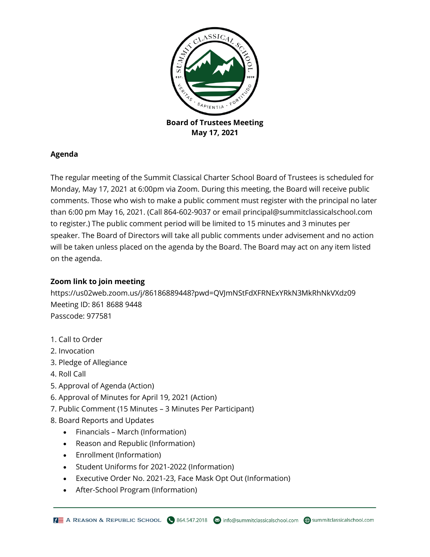

## **Agenda**

The regular meeting of the Summit Classical Charter School Board of Trustees is scheduled for Monday, May 17, 2021 at 6:00pm via Zoom. During this meeting, the Board will receive public comments. Those who wish to make a public comment must register with the principal no later than 6:00 pm May 16, 2021. (Call 864-602-9037 or email principal@summitclassicalschool.com to register.) The public comment period will be limited to 15 minutes and 3 minutes per speaker. The Board of Directors will take all public comments under advisement and no action will be taken unless placed on the agenda by the Board. The Board may act on any item listed on the agenda.

## **Zoom link to join meeting**

https://us02web.zoom.us/j/86186889448?pwd=QVJmNStFdXFRNExYRkN3MkRhNkVXdz09 Meeting ID: 861 8688 9448 Passcode: 977581

- 1. Call to Order
- 2. Invocation
- 3. Pledge of Allegiance
- 4. Roll Call
- 5. Approval of Agenda (Action)
- 6. Approval of Minutes for April 19, 2021 (Action)
- 7. Public Comment (15 Minutes 3 Minutes Per Participant)
- 8. Board Reports and Updates
	- Financials March (Information)
	- Reason and Republic (Information)
	- Enrollment (Information)
	- Student Uniforms for 2021-2022 (Information)
	- Executive Order No. 2021-23, Face Mask Opt Out (Information)
	- After-School Program (Information)